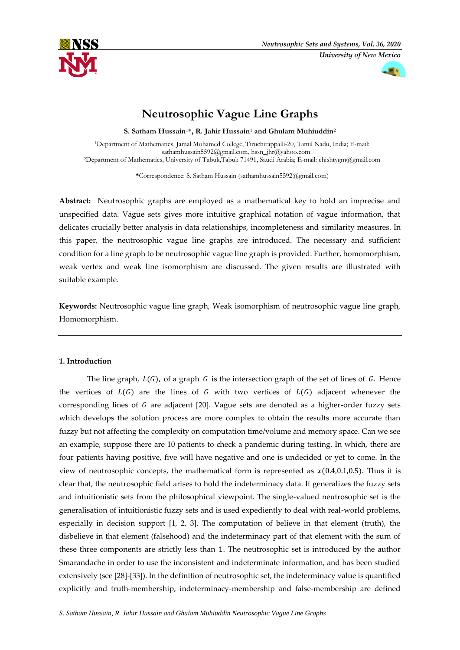



# **Neutrosophic Vague Line Graphs**

**S. Satham Hussain**1\***, R. Jahir Hussain**<sup>1</sup> **and Ghulam Muhiuddin**<sup>2</sup>

<sup>1</sup>Department of Mathematics, Jamal Mohamed College, Tiruchirappalli-20, Tamil Nadu, India; E-mail: [sathamhussain5592@gmail.com,](mailto:sathamhussain5592@gmail.com) [hssn\\_jhr@yahoo.com](mailto:hssn_jhr@yahoo.com) <sup>2</sup>Department of Mathematics, University of Tabuk,Tabuk 71491, Saudi Arabia; E-mail[: chishtygm@gmail.com](mailto:chishtygm@gmail.com)

**\***Correspondence: S. Satham Hussain [\(sathamhussain5592@gmail.com\)](mailto:sathamhussain5592@gmail.com)

**Abstract:** Neutrosophic graphs are employed as a mathematical key to hold an imprecise and unspecified data. Vague sets gives more intuitive graphical notation of vague information, that delicates crucially better analysis in data relationships, incompleteness and similarity measures. In this paper, the neutrosophic vague line graphs are introduced. The necessary and sufficient condition for a line graph to be neutrosophic vague line graph is provided. Further, homomorphism, weak vertex and weak line isomorphism are discussed. The given results are illustrated with suitable example.

**Keywords:** Neutrosophic vague line graph, Weak isomorphism of neutrosophic vague line graph, Homomorphism.

# **1. Introduction**

The line graph,  $L(G)$ , of a graph G is the intersection graph of the set of lines of G. Hence the vertices of  $L(G)$  are the lines of G with two vertices of  $L(G)$  adjacent whenever the corresponding lines of  $G$  are adjacent [20]. Vague sets are denoted as a higher-order fuzzy sets which develops the solution process are more complex to obtain the results more accurate than fuzzy but not affecting the complexity on computation time/volume and memory space. Can we see an example, suppose there are 10 patients to check a pandemic during testing. In which, there are four patients having positive, five will have negative and one is undecided or yet to come. In the view of neutrosophic concepts, the mathematical form is represented as  $x(0.4,0.1,0.5)$ . Thus it is clear that, the neutrosophic field arises to hold the indeterminacy data. It generalizes the fuzzy sets and intuitionistic sets from the philosophical viewpoint. The single-valued neutrosophic set is the generalisation of intuitionistic fuzzy sets and is used expediently to deal with real-world problems, especially in decision support [1, 2, 3]. The computation of believe in that element (truth), the disbelieve in that element (falsehood) and the indeterminacy part of that element with the sum of these three components are strictly less than 1. The neutrosophic set is introduced by the author Smarandache in order to use the inconsistent and indeterminate information, and has been studied extensively (see [28]-[33]). In the definition of neutrosophic set, the indeterminacy value is quantified explicitly and truth-membership, indeterminacy-membership and false-membership are defined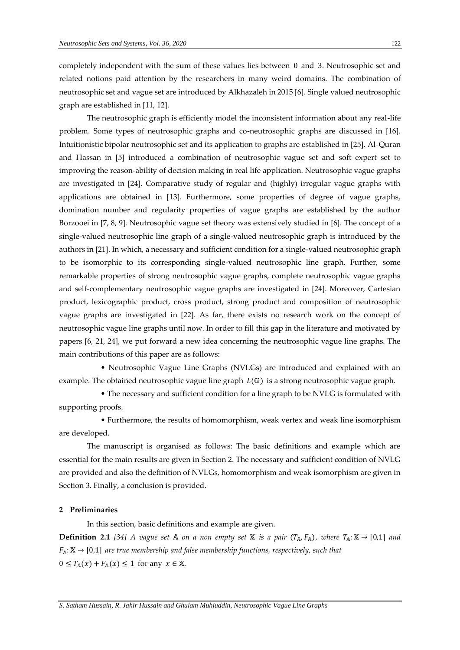completely independent with the sum of these values lies between 0 and 3. Neutrosophic set and related notions paid attention by the researchers in many weird domains. The combination of neutrosophic set and vague set are introduced by Alkhazaleh in 2015 [6]. Single valued neutrosophic graph are established in [11, 12].

The neutrosophic graph is efficiently model the inconsistent information about any real-life problem. Some types of neutrosophic graphs and co-neutrosophic graphs are discussed in [16]. Intuitionistic bipolar neutrosophic set and its application to graphs are established in [25]. Al-Quran and Hassan in [5] introduced a combination of neutrosophic vague set and soft expert set to improving the reason-ability of decision making in real life application. Neutrosophic vague graphs are investigated in [24]. Comparative study of regular and (highly) irregular vague graphs with applications are obtained in [13]. Furthermore, some properties of degree of vague graphs, domination number and regularity properties of vague graphs are established by the author Borzooei in [7, 8, 9]. Neutrosophic vague set theory was extensively studied in [6]. The concept of a single-valued neutrosophic line graph of a single-valued neutrosophic graph is introduced by the authors in [21]. In which, a necessary and sufficient condition for a single-valued neutrosophic graph to be isomorphic to its corresponding single-valued neutrosophic line graph. Further, some remarkable properties of strong neutrosophic vague graphs, complete neutrosophic vague graphs and self-complementary neutrosophic vague graphs are investigated in [24]. Moreover, Cartesian product, lexicographic product, cross product, strong product and composition of neutrosophic vague graphs are investigated in [22]. As far, there exists no research work on the concept of neutrosophic vague line graphs until now. In order to fill this gap in the literature and motivated by papers [6, 21, 24], we put forward a new idea concerning the neutrosophic vague line graphs. The main contributions of this paper are as follows:

 • Neutrosophic Vague Line Graphs (NVLGs) are introduced and explained with an example. The obtained neutrosophic vague line graph  $L(\mathbb{G})$  is a strong neutrosophic vague graph.

 • The necessary and sufficient condition for a line graph to be NVLG is formulated with supporting proofs.

 • Furthermore, the results of homomorphism, weak vertex and weak line isomorphism are developed.

The manuscript is organised as follows: The basic definitions and example which are essential for the main results are given in Section 2. The necessary and sufficient condition of NVLG are provided and also the definition of NVLGs, homomorphism and weak isomorphism are given in Section 3. Finally, a conclusion is provided.

### **2 Preliminaries**

In this section, basic definitions and example are given.

**Definition 2.1** [34] A vague set A on a non empty set X is a pair  $(T_A, F_A)$ , where  $T_A: X \to [0,1]$  and  $F_A: \mathbb{X} \to [0,1]$  are true membership and false membership functions, respectively, such that  $0 \leq T_{\mathbb{A}}(x) + F_{\mathbb{A}}(x) \leq 1$  for any  $x \in \mathbb{X}$ .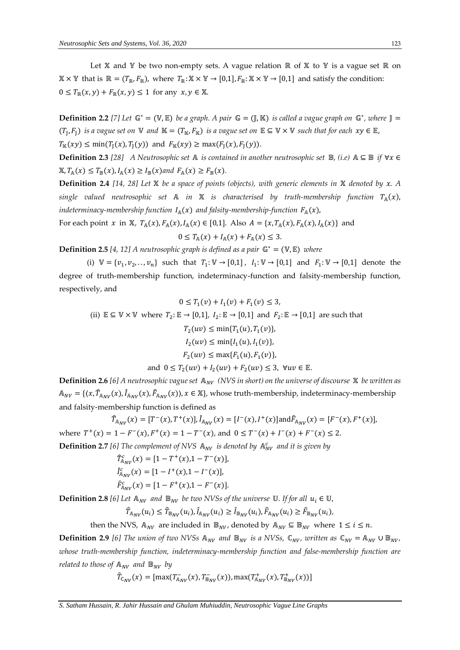Let  $X$  and  $Y$  be two non-empty sets. A vague relation  $\mathbb R$  of  $X$  to  $Y$  is a vague set  $\mathbb R$  on  $\mathbb{X} \times \mathbb{Y}$  that is  $\mathbb{R} = (T_{\mathbb{R}}, F_{\mathbb{R}})$ , where  $T_{\mathbb{R}} : \mathbb{X} \times \mathbb{Y} \to [0,1]$ ,  $F_{\mathbb{R}} : \mathbb{X} \times \mathbb{Y} \to [0,1]$  and satisfy the condition:  $0 \leq T_{\mathbb{R}}(x, y) + F_{\mathbb{R}}(x, y) \leq 1$  for any  $x, y \in \mathbb{X}$ .

**Definition 2.2** [7] Let  $\mathbb{G}^* = (\mathbb{V}, \mathbb{E})$  be a graph. A pair  $\mathbb{G} = (\mathbb{J}, \mathbb{K})$  is called a vague graph on  $\mathbb{G}^*$ , where  $\mathbb{J} =$  $(T_{\rm J}, F_{\rm J})$  *is a vague set on*  $\mathbb V$  *and*  $\mathbb K=(T_{\mathbb K}, F_{\mathbb K})$  *is a vague set on*  $\mathbb E\subseteq\mathbb V\times\mathbb V$  *such that for each*  $xy\in\mathbb E$ ,  $T_{\mathbb{K}}(xy) \le \min(T_{\mathbb{I}}(x), T_{\mathbb{I}}(y))$  and  $F_{\mathbb{K}}(xy) \ge \max(F_{\mathbb{I}}(x), F_{\mathbb{I}}(y)).$ 

**Definition 2.3** [28] A Neutrosophic set A is contained in another neutrosophic set  $\mathbb{B}$ , (i.e)  $A \subseteq \mathbb{B}$  if  $\forall x \in$  $\mathbb{X}, T_{\mathbb{A}}(x) \leq T_{\mathbb{B}}(x), I_{\mathbb{A}}(x) \geq I_{\mathbb{B}}(x)$  and  $F_{\mathbb{A}}(x) \geq F_{\mathbb{B}}(x)$ .

**Definition 2.4** [14, 28] Let X be a space of points (objects), with generic elements in X denoted by x. A *single valued neutrosophic set*  $\mathbb A$  *in*  $\mathbb X$  *is characterised by truth-membership function*  $T_{\mathbb A}(x)$ , *indeterminacy-membership function*  $I_A(x)$  *and falsity-membership-function*  $F_A(x)$ ,

For each point x in X,  $T_A(x)$ ,  $F_A(x)$ ,  $I_A(x) \in [0,1]$ . Also  $A = \{x, T_A(x), F_A(x), I_A(x)\}$  and

$$
0 \leq T_{\mathbb{A}}(x) + I_{\mathbb{A}}(x) + F_{\mathbb{A}}(x) \leq 3.
$$

**Definition 2.5** [4, 12] A neutrosophic graph is defined as a pair  $\mathbb{G}^* = (\mathbb{V}, \mathbb{E})$  where

(i)  $V = \{v_1, v_2, ..., v_n\}$  such that  $T_1: V \to [0,1]$ ,  $I_1: V \to [0,1]$  and  $F_1: V \to [0,1]$  denote the degree of truth-membership function, indeterminacy-function and falsity-membership function, respectively, and

$$
0 \le T_1(v) + I_1(v) + F_1(v) \le 3,
$$
  
(ii)  $\mathbb{E} \subseteq \mathbb{V} \times \mathbb{V}$  where  $T_2: \mathbb{E} \to [0,1]$ ,  $I_2: \mathbb{E} \to [0,1]$  and  $F_2: \mathbb{E} \to [0,1]$  are such that  
 $T_2(uv) \le \min\{T_1(u), T_1(v)\},$   
 $I_2(uv) \le \min\{I_1(u), I_1(v)\},$   
 $F_2(uv) \le \max\{F_1(u), F_1(v)\},$   
and  $0 \le T_2(uv) + I_2(uv) + F_2(uv) \le 3$ ,  $\forall uv \in \mathbb{E}$ .

**Definition 2.6** [6] A neutrosophic vague set  $A_{NV}$  (NVS in short) on the universe of discourse  $X$  be written as  $A_{NV} = \{\langle x, \hat{T}_{A_{NV}}(x), \hat{I}_{A_{NV}}(x), \hat{F}_{A_{NV}}(x)\rangle, x \in \mathbb{X}\}\$ , whose truth-membership, indeterminacy-membership and falsity-membership function is defined as

$$
\hat{T}_{A_{NV}}(x) = [T^-(x), T^+(x)], \hat{I}_{A_{NV}}(x) = [I^-(x), I^+(x)] \text{and} \hat{F}_{A_{NV}}(x) = [F^-(x), F^+(x)],
$$
  
where  $T^+(x) = 1 - F^-(x), F^+(x) = 1 - T^-(x)$ , and  $0 \le T^-(x) + I^-(x) + F^-(x) \le 2$ .  
**Definition 2.7** [6] The complement of NVS  $A_{NV}$  is denoted by  $A_{NV}^c$  and it is given by

 $\hat{T}_{A_{NV}}^c(x) = [1 - T^+(x), 1 - T^-(x)],$  $\hat{I}_{A_{NV}}^c(x) = [1 - I^+(x), 1 - I^-(x)],$  $\hat{F}_{A_{NV}}^c(x) = [1 - F^+(x), 1 - F^-(x)].$ 

**Definition 2.8** [6] Let  $\mathbb{A}_{NV}$  and  $\mathbb{B}_{NV}$  be two NVSs of the universe U. If for all  $u_i \in \mathbb{U}$ ,

 $\hat{T}_{\mathbb{A}_{NV}}(u_i) \leq \hat{T}_{\mathbb{B}_{NV}}(u_i), \hat{I}_{\mathbb{A}_{NV}}(u_i) \geq \hat{I}_{\mathbb{B}_{NV}}(u_i), \hat{F}_{\mathbb{A}_{NV}}(u_i) \geq \hat{F}_{\mathbb{B}_{NV}}(u_i),$ 

then the NVS,  $A_{NV}$  are included in  $\mathbb{B}_{NV}$ , denoted by  $A_{NV} \subseteq \mathbb{B}_{NV}$  where  $1 \le i \le n$ .

**Definition 2.9** [6] The union of two NVSs  $\mathbb{A}_{NV}$  and  $\mathbb{B}_{NV}$  is a NVSs,  $\mathbb{C}_{NV}$ , written as  $\mathbb{C}_{NV} = \mathbb{A}_{NV} \cup \mathbb{B}_{NV}$ , *whose truth-membership function, indeterminacy-membership function and false-membership function are related to those of*  $\mathbb{A}_{NV}$  *and*  $\mathbb{B}_{NV}$  *by* 

$$
\hat{T}_{\mathbb{C}_{NV}}(x)=[\max(T^-_{\mathbb{A}_{NV}}(x),T^-_{\mathbb{B}_{NV}}(x)),\max(T^+_{\mathbb{A}_{NV}}(x),T^+_{\mathbb{B}_{NV}}(x))]
$$

*S. Satham Hussain, R. Jahir Hussain and Ghulam Muhiuddin, Neutrosophic Vague Line Graphs*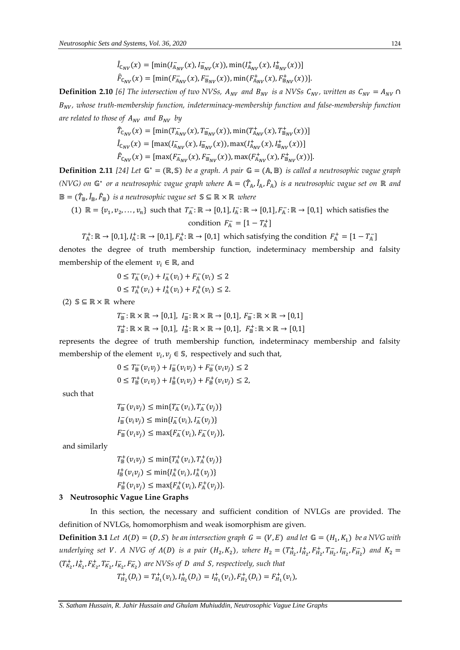$$
\hat{I}_{\mathbb{C}_{NV}}(x) = [\min(I_{\mathbb{A}_{NV}}^{-}(x), I_{\mathbb{B}_{NV}}^{-}(x)), \min(I_{\mathbb{A}_{NV}}^{+}(x), I_{\mathbb{B}_{NV}}^{+}(x))]
$$
\n
$$
\hat{F}_{\mathbb{C}_{NV}}(x) = [\min(F_{\mathbb{A}_{NV}}^{-}(x), F_{\mathbb{B}_{NV}}^{-}(x)), \min(F_{\mathbb{A}_{NV}}^{+}(x), F_{\mathbb{B}_{NV}}^{+}(x))].
$$

**Definition 2.10** [6] The intersection of two NVSs,  $A_{NV}$  and  $B_{NV}$  is a NVSs  $C_{NV}$ , written as  $C_{NV} = A_{NV} \cap$  $B_{NV}$ , whose truth-membership function, indeterminacy-membership function and false-membership function *are related to those of*  $A_{NV}$  *and*  $B_{NV}$  *by* 

$$
\begin{aligned}\n\hat{T}_{\mathbb{C}_{NV}}(x) &= \left[ \min(T_{\mathbb{A}_{NV}}^{-}(x), T_{\mathbb{B}_{NV}}^{-}(x)), \min(T_{\mathbb{A}_{NV}}^{+}(x), T_{\mathbb{B}_{NV}}^{+}(x)) \right] \\
\hat{I}_{\mathbb{C}_{NV}}(x) &= \left[ \max(T_{\mathbb{A}_{NV}}^{-}(x), I_{\mathbb{B}_{NV}}^{-}(x)), \max(T_{\mathbb{A}_{NV}}^{+}(x), I_{\mathbb{B}_{NV}}^{+}(x)) \right] \\
\hat{F}_{\mathbb{C}_{NV}}(x) &= \left[ \max(F_{\mathbb{A}_{NV}}^{-}(x), F_{\mathbb{B}_{NV}}^{-}(x)), \max(F_{\mathbb{A}_{NV}}^{+}(x), F_{\mathbb{B}_{NV}}^{+}(x)) \right].\n\end{aligned}
$$

**Definition 2.11** [24] Let  $\mathbb{G}^* = (\mathbb{R}, \mathbb{S})$  be a graph. A pair  $\mathbb{G} = (\mathbb{A}, \mathbb{B})$  is called a neutrosophic vague graph (NVG) on  $\mathbb{G}^*$  or a neutrosophic vague graph where  $\mathbb{A} = (\widehat{T}_{\mathbb{A}}, \widehat{I}_{\mathbb{A}}, \widehat{F}_{\mathbb{A}})$  is a neutrosophic vague set on ℝ and  $\mathbb{B} = (T_{\mathbb{B}}, I_{\mathbb{B}}, F_{\mathbb{B}})$  *is a neutrosophic vague set*  $\mathbb{S} \subseteq \mathbb{R} \times \mathbb{R}$  *where* 

(1) 
$$
\mathbb{R} = \{v_1, v_2, \dots, v_n\}
$$
 such that  $T_A^- : \mathbb{R} \to [0,1], I_A^- : \mathbb{R} \to [0,1], F_A^- : \mathbb{R} \to [0,1]$  which satisfies the condition  $F_A^- = [1 - T_A^+]$ 

 $T^+_{\mathbb{A}}:\mathbb{R}\to[0,1], I^+_{\mathbb{A}}:\mathbb{R}\to[0,1], F^+_{\mathbb{A}}:\mathbb{R}\to[0,1]$  which satisfying the condition  $F^+_{\mathbb{A}}=[1-T^-_{\mathbb{A}}]$ denotes the degree of truth membership function, indeterminacy membership and falsity membership of the element  $v_i \in \mathbb{R}$ , and

$$
0 \le T_{\mathbb{A}}(v_i) + I_{\mathbb{A}}(v_i) + F_{\mathbb{A}}(v_i) \le 2
$$
  
 
$$
0 \le T_{\mathbb{A}}(v_i) + I_{\mathbb{A}}(v_i) + F_{\mathbb{A}}(v_i) \le 2.
$$

(2)  $\mathbb{S} \subseteq \mathbb{R} \times \mathbb{R}$  where

$$
T_{\mathbb{B}} : \mathbb{R} \times \mathbb{R} \to [0,1], \quad I_{\mathbb{B}} : \mathbb{R} \times \mathbb{R} \to [0,1], \quad F_{\mathbb{B}} : \mathbb{R} \times \mathbb{R} \to [0,1]
$$
\n
$$
T_{\mathbb{B}}^+ : \mathbb{R} \times \mathbb{R} \to [0,1], \quad I_{\mathbb{B}}^+ : \mathbb{R} \times \mathbb{R} \to [0,1], \quad F_{\mathbb{B}}^+ : \mathbb{R} \times \mathbb{R} \to [0,1]
$$

represents the degree of truth membership function, indeterminacy membership and falsity membership of the element  $v_i, v_j \in \mathbb{S}$ , respectively and such that,

$$
0 \le T_{\mathbb{B}}(v_i v_j) + I_{\mathbb{B}}(v_i v_j) + F_{\mathbb{B}}(v_i v_j) \le 2
$$
  
 
$$
0 \le T_{\mathbb{B}}^+(v_i v_j) + I_{\mathbb{B}}^+(v_i v_j) + F_{\mathbb{B}}^+(v_i v_j) \le 2,
$$

such that

$$
T_{\mathbb{B}}^-(v_i v_j) \le \min\{T_{\mathbb{A}}^-(v_i), T_{\mathbb{A}}^-(v_j)\}
$$
  

$$
I_{\mathbb{B}}^-(v_i v_j) \le \min\{I_{\mathbb{A}}^-(v_i), I_{\mathbb{A}}^-(v_j)\}
$$
  

$$
F_{\mathbb{B}}^-(v_i v_j) \le \max\{F_{\mathbb{A}}^-(v_i), F_{\mathbb{A}}^-(v_j)\},
$$

and similarly

$$
T_{\mathbb{B}}^{+}(v_{i}v_{j}) \leq \min\{T_{\mathbb{A}}^{+}(v_{i}), T_{\mathbb{A}}^{+}(v_{j})\}
$$
  

$$
I_{\mathbb{B}}^{+}(v_{i}v_{j}) \leq \min\{I_{\mathbb{A}}^{+}(v_{i}), I_{\mathbb{A}}^{+}(v_{j})\}
$$
  

$$
F_{\mathbb{B}}^{+}(v_{i}v_{j}) \leq \max\{F_{\mathbb{A}}^{+}(v_{i}), F_{\mathbb{A}}^{+}(v_{j})\}.
$$

#### **3 Neutrosophic Vague Line Graphs**

In this section, the necessary and sufficient condition of NVLGs are provided. The definition of NVLGs, homomorphism and weak isomorphism are given.

**Definition 3.1** Let  $\Lambda(D) = (D, S)$  be an intersection graph  $G = (V, E)$  and let  $\mathbb{G} = (H_1, K_1)$  be a NVG with *underlying set V. A NVG of*  $\Lambda(D)$  *is a pair*  $(H_2, K_2)$ , where  $H_2 = (T_{H_2}^+, I_{H_2}^+, F_{H_2}^-, T_{H_2}^-, I_{H_2}^-, F_{H_2}^+)$  and  $K_2 =$  $(T_{K_2}^+, I_{K_2}^+, F_{K_2}^+, T_{K_2}^-, I_{K_2}^-, F_{K_2}^-)$  are NVSs of *D* and *S*, respectively, such that

$$
T_{H_2}^+(D_i) = T_{H_1}^+(v_i), I_{H_2}^+(D_i) = I_{H_1}^+(v_i), F_{H_2}^+(D_i) = F_{H_1}^+(v_i),
$$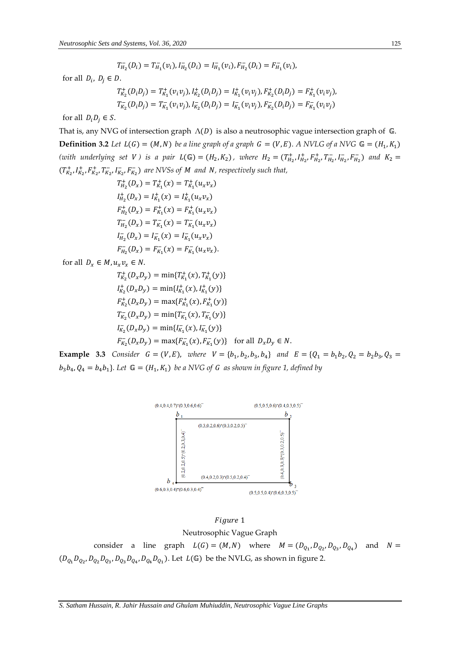$$
T_{H_2}^-(D_i)=T_{H_1}^-(v_i), I_{H_2}^-(D_i)=I_{H_1}^-(v_i), F_{H_2}^-(D_i)=F_{H_1}^-(v_i),
$$

for all  $D_i$ ,  $D_j \in D$ .

$$
T_{K_2}^+(D_iD_j) = T_{K_1}^+(v_iv_j), I_{K_2}^+(D_iD_j) = I_{K_1}^+(v_iv_j), F_{K_2}^+(D_iD_j) = F_{K_1}^+(v_iv_j),
$$
  

$$
T_{K_2}^-(D_iD_j) = T_{K_1}^-(v_iv_j), I_{K_2}^-(D_iD_j) = I_{K_1}^-(v_iv_j), F_{K_2}^-(D_iD_j) = F_{K_1}^-(v_iv_j)
$$

for all  $D_i D_i \in S$ .

That is, any NVG of intersection graph  $\Lambda(D)$  is also a neutrosophic vague intersection graph of  $\mathbb{G}$ . **Definition 3.2** Let  $L(G) = (M, N)$  be a line graph of a graph  $G = (V, E)$ . A NVLG of a NVG  $\mathbb{G} = (H_1, K_1)$ (with underlying set *V*) is a pair  $L(\mathbb{G}) = (H_2, K_2)$ , where  $H_2 = (T_{H_2}^+, I_{H_2}^+, F_{H_2}^+, T_{H_2}^-, I_{H_2}^-, F_{H_2}^+)$  and  $K_2 =$  $(T_{K_2}^+, I_{K_2}^+, F_{K_2}^+, T_{K_2}^-, I_{K_2}^-, F_{K_2}^-)$  are NVSs of *M* and *N*, respectively such that,

$$
T_{H_2}^+(D_x) = T_{K_1}^+(x) = T_{K_1}^+(u_x v_x)
$$
  
\n
$$
I_{H_2}^+(D_x) = I_{K_1}^+(x) = I_{K_1}^+(u_x v_x)
$$
  
\n
$$
F_{H_2}^+(D_x) = F_{K_1}^+(x) = F_{K_1}^+(u_x v_x)
$$
  
\n
$$
T_{H_2}^-(D_x) = T_{K_1}^-(x) = T_{K_1}^-(u_x v_x)
$$
  
\n
$$
I_{H_2}^-(D_x) = I_{K_1}^-(x) = I_{K_1}^-(u_x v_x)
$$

for all  $D_x \in M$ ,  $u_x v_x \in N$ .

$$
T_{K_2}^+(D_x D_y) = \min\{T_{K_1}^+(x), T_{K_1}^+(y)\}
$$
  
\n
$$
I_{K_2}^+(D_x D_y) = \min\{I_{K_1}^+(x), I_{K_1}^+(y)\}
$$
  
\n
$$
F_{K_2}^+(D_x D_y) = \max\{F_{K_1}^+(x), F_{K_1}^+(y)\}
$$
  
\n
$$
T_{K_2}^-(D_x D_y) = \min\{T_{K_1}^-(x), T_{K_1}^-(y)\}
$$
  
\n
$$
F_{K_2}^-(D_x D_y) = \max\{F_{K_1}^-(x), F_{K_1}^-(y)\}
$$
 for all  $D_x D_y \in N$ .

**Example 3.3** *Consider G* = (*V, E*), *where V* = { $b_1$ ,  $b_2$ ,  $b_3$ ,  $b_4$ } *and E* = { $Q_1 = b_1b_2$ ,  $Q_2 = b_2b_3$ ,  $Q_3$  =  $b_3b_4$ ,  $Q_4 = b_4b_1$ . Let  $\mathbb{G} = (H_1, K_1)$  be a NVG of G as shown in figure 1, defined by



Figure 1 Neutrosophic Vague Graph

consider a line graph  $L(G) = (M, N)$  where  $M = (D_{Q_1}, D_{Q_2}, D_{Q_3}, D_{Q_4})$  and  $N =$  $(D_{Q_1}D_{Q_2}, D_{Q_2}D_{Q_3}, D_{Q_3}D_{Q_4}, D_{Q_4}D_{Q_1})$ . Let  $L(\mathbb{G})$  be the NVLG, as shown in figure 2.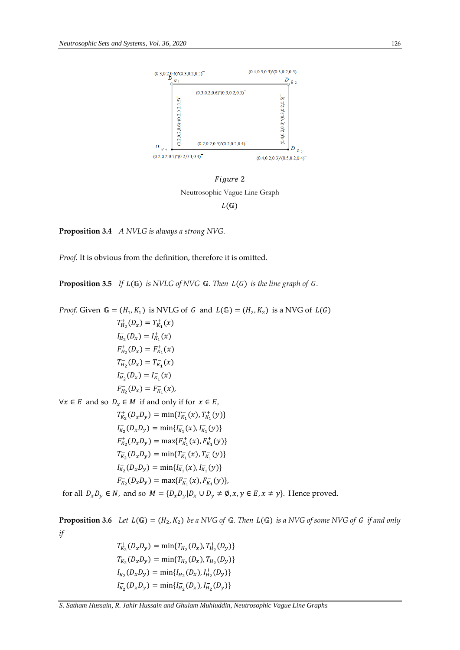

Figure 2 Neutrosophic Vague Line Graph  $L(\mathbb{G})$ 

**Proposition 3.4** *A NVLG is always a strong NVG.* 

*Proof.* It is obvious from the definition, therefore it is omitted.

**Proposition 3.5** *If L*( $\mathbb{G}$ ) *is NVLG of NVG*  $\mathbb{G}$ *. Then L(G) is the line graph of G.* 

*Proof.* Given  $\mathbb{G} = (H_1, K_1)$  is NVLG of G and  $L(\mathbb{G}) = (H_2, K_2)$  is a NVG of  $L(G)$  $T_{H_2}^+(D_x) = T_{K_1}^+(x)$  $I_{H_2}^+(D_x) = I_{K_1}^+(x)$  $F_{H_2}^+(D_x) = F_{K_1}^+(x)$  $T_{H_2}^-(D_x) = T_{K_1}^-(x)$  $I_{H_2}^-(D_x) = I_{K_1}^-(x)$  $F_{H_2}^-(D_x) = F_{K_1}^-(x)$ ,  $\forall x \in E$  and so  $D_x \in M$  if and only if for  $x \in E$ ,  $T_{K_2}^+(D_xD_y) = \min\{T_{K_1}^+(x), T_{K_1}^+(y)\}$  $I_{K_2}^+(D_xD_y) = \min\{I_{K_1}^+(x), I_{K_1}^+(y)\}$  $F_{K_2}^+(D_xD_y) = \max\{F_{K_1}^+(x), F_{K_1}^+(y)\}$  $T_{K_2}^-(D_xD_y) = \min\{T_{K_1}^-(x), T_{K_1}^-(y)\}$  $I_{K_2}^-(D_xD_y) = \min\{I_{K_1}^-(x), I_{K_1}^-(y)\}$ 

$$
F_{K_2}^-(D_xD_y) = \max\{F_{K_1}^-(x), F_{K_1}^-(y)\},\
$$

for all  $D_x D_y \in N$ , and so  $M = {D_x D_y | D_x \cup D_y \neq \emptyset, x, y \in E, x \neq y}.$  Hence proved.

**Proposition 3.6** Let  $L(\mathbb{G}) = (H_2, K_2)$  be a NVG of  $\mathbb{G}$ . Then  $L(\mathbb{G})$  is a NVG of some NVG of G if and only *if* 

$$
T_{K_2}^+(D_x D_y) = \min\{T_{H_2}^+(D_x), T_{H_2}^+(D_y)\}
$$
  
\n
$$
T_{K_2}^-(D_x D_y) = \min\{T_{H_2}^-(D_x), T_{H_2}^-(D_y)\}
$$
  
\n
$$
I_{K_2}^+(D_x D_y) = \min\{I_{H_2}^+(D_x), I_{H_2}^+(D_y)\}
$$
  
\n
$$
I_{K_2}^-(D_x D_y) = \min\{I_{H_2}^-(D_x), I_{H_2}^-(D_y)\}
$$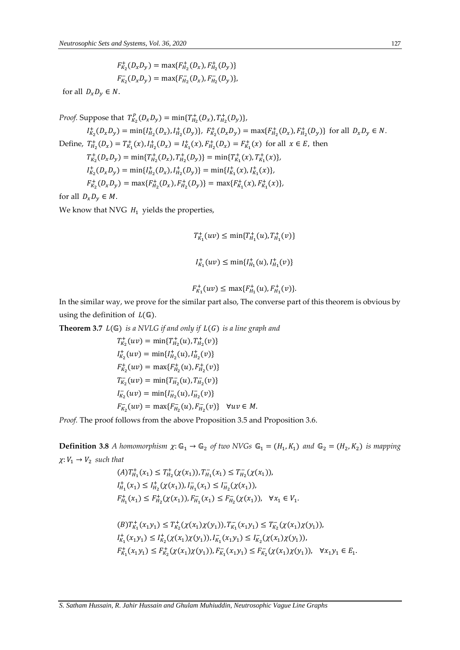$F_{K_2}^+(D_xD_y) = \max\{F_{H_2}^+(D_x), F_{H_2}^+(D_y)\}$  $F_{K_2}^-(D_xD_y) = \max\{F_{H_2}^-(D_x), F_{H_2}^-(D_y)\},\$ 

for all  $D_x D_y \in N$ .

*Proof.* Suppose that  $T_{K_2}^P(D_x D_y) = \min\{T_{H_2}^+(D_x), T_{H_2}^+(D_y)\},$  $I_{K_2}^+(D_xD_y) = \min\{I_{H_2}^+(D_x), I_{H_2}^+(D_y)\}, F_{K_2}^+(D_xD_y) = \max\{F_{H_2}^+(D_x), F_{H_2}^+(D_y)\}\$  for all  $D_xD_y \in N$ . Define,  $T_{H_2}^+(D_x) = T_{K_1}^+(x)$ ,  $I_{H_2}^+(D_x) = I_{K_1}^+(x)$ ,  $F_{H_2}^+(D_x) = F_{K_1}^+(x)$  for all  $x \in E$ , then  $T^+_{K_2}(D_x D_y) = \min\{T^+_{H_2}(D_x), T^+_{H_2}(D_y)\} = \min\{T^+_{K_1}(x), T^+_{K_1}(x)\},$  $I_{K_2}^+(D_xD_y) = \min\{I_{H_2}^+(D_x), I_{H_2}^+(D_y)\} = \min\{I_{K_1}^+(x), I_{K_1}^+(x)\},$  $F_{K_2}^+(D_xD_y) = \max\{F_{H_2}^+(D_x), F_{H_2}^+(D_y)\} = \max\{F_{K_1}^+(x), F_{K_1}^+(x)\},$ 

for all  $D_x D_y \in M$ .

We know that NVG  $H_1$  yields the properties,

$$
T_{K_1}^+(uv) \le \min\{T_{H_1}^+(u), T_{H_1}^+(v)\}
$$
  

$$
I_{K_1}^+(uv) \le \min\{I_{H_1}^+(u), I_{H_1}^+(v)\}
$$

$$
F_{K_1}^+(uv) \le \max\{F_{H_1}^+(u), F_{H_1}^+(v)\}.
$$

In the similar way, we prove for the similar part also, The converse part of this theorem is obvious by using the definition of  $L(\mathbb{G})$ .

**Theorem 3.7**  $L(\mathbb{G})$  *is a NVLG if and only if*  $L(G)$  *is a line graph and* 

$$
T_{K_2}^+(uv) = \min\{T_{H_2}^+(u), T_{H_2}^+(v)\}
$$
  
\n
$$
I_{K_2}^+(uv) = \min\{I_{H_2}^+(u), I_{H_2}^+(v)\}
$$
  
\n
$$
F_{K_2}^+(uv) = \max\{F_{H_2}^+(u), F_{H_2}^+(v)\}
$$
  
\n
$$
T_{K_2}^-(uv) = \min\{T_{H_2}^-(u), T_{H_2}^-(v)\}
$$
  
\n
$$
I_{K_2}^-(uv) = \min\{I_{H_2}^-(u), I_{H_2}^-(v)\}
$$
  
\n
$$
F_{K_2}^-(uv) = \max\{F_{H_2}^-(u), F_{H_2}^-(v)\}
$$
  
\n
$$
\forall uv \in M.
$$

*Proof.* The proof follows from the above Proposition 3.5 and Proposition 3.6.

**Definition 3.8** *A homomorphism*  $\chi: \mathbb{G}_1 \to \mathbb{G}_2$  *of two NVGs*  $\mathbb{G}_1 = (H_1, K_1)$  *and*  $\mathbb{G}_2 = (H_2, K_2)$  *is mapping*  $\chi: V_1 \to V_2$  such that

$$
(A)T_{H_1}^+(x_1) \le T_{H_2}^+( \chi(x_1)), T_{H_1}^-(x_1) \le T_{H_2}^-( \chi(x_1)),
$$
  
\n
$$
I_{H_1}^+(x_1) \le I_{H_2}^+( \chi(x_1)), I_{H_1}^-(x_1) \le I_{H_2}^-( \chi(x_1)),
$$
  
\n
$$
F_{H_1}^+(x_1) \le F_{H_2}^+( \chi(x_1)), F_{H_1}^-(x_1) \le F_{H_2}^-( \chi(x_1)), \quad \forall x_1 \in V_1.
$$

$$
(B)T_{K_1}^+(x_1y_1) \le T_{K_2}^+( \chi(x_1) \chi(y_1)), T_{K_1}^-(x_1y_1) \le T_{K_2}^-( \chi(x_1) \chi(y_1)),
$$
  
\n
$$
I_{K_1}^+(x_1y_1) \le I_{K_2}^+( \chi(x_1) \chi(y_1)), I_{K_1}^-(x_1y_1) \le I_{K_2}^-( \chi(x_1) \chi(y_1)),
$$
  
\n
$$
F_{K_1}^+(x_1y_1) \le F_{K_2}^+( \chi(x_1) \chi(y_1)), F_{K_1}^-(x_1y_1) \le F_{K_2}^-( \chi(x_1) \chi(y_1)), \quad \forall x_1y_1 \in E_1.
$$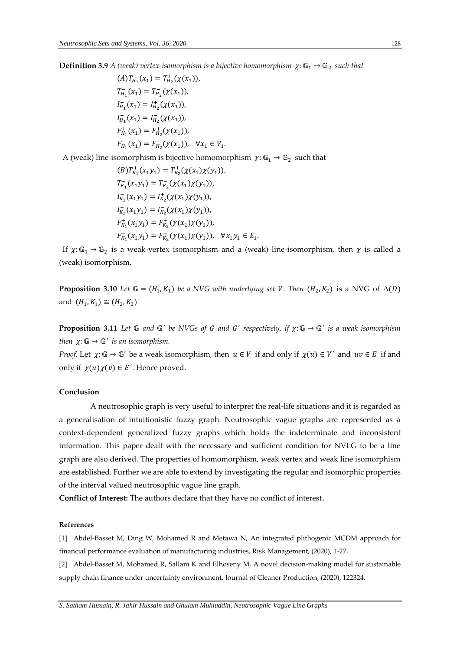**Definition 3.9** A (weak) vertex-isomorphism is a bijective homomorphism  $\chi:\mathbb{G}_1\to\mathbb{G}_2$  such that

 $(A)T_{H_1}^+(x_1) = T_{H_2}^+(\chi(x_1)),$  $T_{H_1}^-(x_1) = T_{H_2}^-(\chi(x_1)),$  $I_{H_1}^+(x_1) = I_{H_2}^+(\chi(x_1)),$  $I_{H_1}^-(x_1) = I_{H_2}^-(\chi(x_1)),$  $F_{H_1}^+(x_1) = F_{H_2}^+(\chi(x_1)),$  $F_{H_1}^-(x_1) = F_{H_2}^-(\chi(x_1)), \quad \forall x_1 \in V_1.$ 

A (weak) line-isomorphism is bijective homomorphism  $\chi: \mathbb{G}_1 \to \mathbb{G}_2$  such that

$$
(B)T_{K_1}^+(x_1y_1) = T_{K_2}^+( \chi(x_1) \chi(y_1)),
$$
  
\n
$$
T_{K_1}^-(x_1y_1) = T_{K_2}^-( \chi(x_1) \chi(y_1)),
$$
  
\n
$$
I_{K_1}^+(x_1y_1) = I_{K_2}^+( \chi(x_1) \chi(y_1)),
$$
  
\n
$$
I_{K_1}^-(x_1y_1) = I_{K_2}^-( \chi(x_1) \chi(y_1)),
$$
  
\n
$$
F_{K_1}^+(x_1y_1) = F_{K_2}^+( \chi(x_1) \chi(y_1)), \quad \forall x_1y_1 \in E_1.
$$

If  $\chi: \mathbb{G}_1 \to \mathbb{G}_2$  is a weak-vertex isomorphism and a (weak) line-isomorphism, then  $\chi$  is called a (weak) isomorphism.

**Proposition 3.10** Let  $\mathbb{G} = (H_1, K_1)$  be a NVG with underlying set V. Then  $(H_2, K_2)$  is a NVG of  $\Lambda(D)$ and  $(H_1, K_1) \cong (H_2, K_2)$ 

**Proposition 3.11** *Let*  $\mathbb{G}$  *and*  $\mathbb{G}'$  *be NVGs of G and G' respectively, if*  $\chi: \mathbb{G} \to \mathbb{G}'$  *is a weak isomorphism then*  $\chi: \mathbb{G} \to \mathbb{G}'$  *is an isomorphism.* 

*Proof.* Let  $\chi: \mathbb{G} \to \mathbb{G}'$  be a weak isomorphism, then  $u \in V$  if and only if  $\chi(u) \in V'$  and  $uv \in E$  if and only if  $\chi(u)\chi(v) \in E'$ . Hence proved.

# **Conclusion**

A neutrosophic graph is very useful to interpret the real-life situations and it is regarded as a generalisation of intuitionistic fuzzy graph. Neutrosophic vague graphs are represented as a context-dependent generalized fuzzy graphs which holds the indeterminate and inconsistent information. This paper dealt with the necessary and sufficient condition for NVLG to be a line graph are also derived. The properties of homomorphism, weak vertex and weak line isomorphism are established. Further we are able to extend by investigating the regular and isomorphic properties of the interval valued neutrosophic vague line graph.

**Conflict of Interest:** The authors declare that they have no conflict of interest.

## **References**

[1] Abdel-Basset M, Ding W, Mohamed R and Metawa N, An integrated plithogenic MCDM approach for financial performance evaluation of manufacturing industries, Risk Management, (2020), 1-27.

[2] Abdel-Basset M, Mohamed R, Sallam K and Elhoseny M, A novel decision-making model for sustainable supply chain finance under uncertainty environment, Journal of Cleaner Production, (2020), 122324.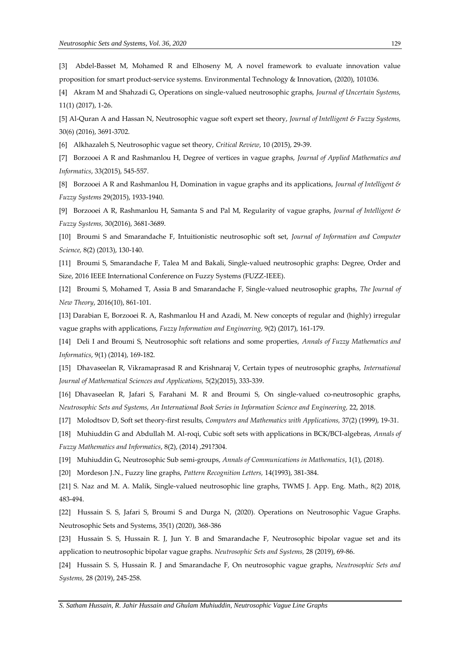[3] Abdel-Basset M, Mohamed R and Elhoseny M, A novel framework to evaluate innovation value proposition for smart product-service systems. Environmental Technology & Innovation, (2020), 101036.

[4] Akram M and Shahzadi G, Operations on single-valued neutrosophic graphs, *Journal of Uncertain Systems,* 11(1) (2017), 1-26.

[5] Al-Quran A and Hassan N, Neutrosophic vague soft expert set theory, *Journal of Intelligent & Fuzzy Systems,* 30(6) (2016), 3691-3702.

[6] Alkhazaleh S, Neutrosophic vague set theory, *Critical Review*, 10 (2015), 29-39.

[7] Borzooei A R and Rashmanlou H, Degree of vertices in vague graphs, *Journal of Applied Mathematics and Informatics*, 33(2015), 545-557.

[8] Borzooei A R and Rashmanlou H, Domination in vague graphs and its applications, *Journal of Intelligent & Fuzzy Systems* 29(2015), 1933-1940.

[9] Borzooei A R, Rashmanlou H, Samanta S and Pal M, Regularity of vague graphs, *Journal of Intelligent & Fuzzy Systems,* 30(2016), 3681-3689.

[10] Broumi S and Smarandache F, Intuitionistic neutrosophic soft set, *Journal of Information and Computer Science,* 8(2) (2013), 130-140.

[11] Broumi S, Smarandache F, Talea M and Bakali, Single-valued neutrosophic graphs: Degree, Order and Size, 2016 IEEE International Conference on Fuzzy Systems (FUZZ-IEEE).

[12] Broumi S, Mohamed T, Assia B and Smarandache F, Single-valued neutrosophic graphs, *The Journal of New Theory*, 2016(10), 861-101.

[13] Darabian E, Borzooei R. A, Rashmanlou H and Azadi, M. New concepts of regular and (highly) irregular vague graphs with applications, *Fuzzy Information and Engineering,* 9(2) (2017), 161-179.

[14] Deli I and Broumi S, Neutrosophic soft relations and some properties, *Annals of Fuzzy Mathematics and Informatics*, 9(1) (2014), 169-182.

[15] Dhavaseelan R, Vikramaprasad R and Krishnaraj V, Certain types of neutrosophic graphs, *International Journal of Mathematical Sciences and Applications,* 5(2)(2015), 333-339.

[16] Dhavaseelan R, Jafari S, Farahani M. R and Broumi S, On single-valued co-neutrosophic graphs, *Neutrosophic Sets and Systems, An International Book Series in Information Science and Engineering,* 22, 2018.

[17] Molodtsov D, Soft set theory-first results, *Computers and Mathematics with Applications,* 37(2) (1999), 19-31.

[18] Muhiuddin G and Abdullah M. Al-roqi, Cubic soft sets with applications in BCK/BCI-algebras, *Annals of Fuzzy Mathematics and Informatics*, 8(2), (2014) ,291?304.

[19] Muhiuddin G, Neutrosophic Sub semi-groups, *Annals of Communications in Mathematics*, 1(1), (2018).

[20] Mordeson J.N., Fuzzy line graphs, *Pattern Recognition Letters,* 14(1993), 381-384.

[21] S. Naz and M. A. Malik, Single-valued neutrosophic line graphs, TWMS J. App. Eng. Math., 8(2) 2018, 483-494.

[22] Hussain S. S, Jafari S, Broumi S and Durga N, (2020). Operations on Neutrosophic Vague Graphs. Neutrosophic Sets and Systems, 35(1) (2020), 368-386

[23] Hussain S. S, Hussain R. J, Jun Y. B and Smarandache F, Neutrosophic bipolar vague set and its application to neutrosophic bipolar vague graphs. *Neutrosophic Sets and Systems,* 28 (2019), 69-86.

[24] Hussain S. S, Hussain R. J and Smarandache F, On neutrosophic vague graphs, *Neutrosophic Sets and Systems,* 28 (2019), 245-258.

*S. Satham Hussain, R. Jahir Hussain and Ghulam Muhiuddin, Neutrosophic Vague Line Graphs*